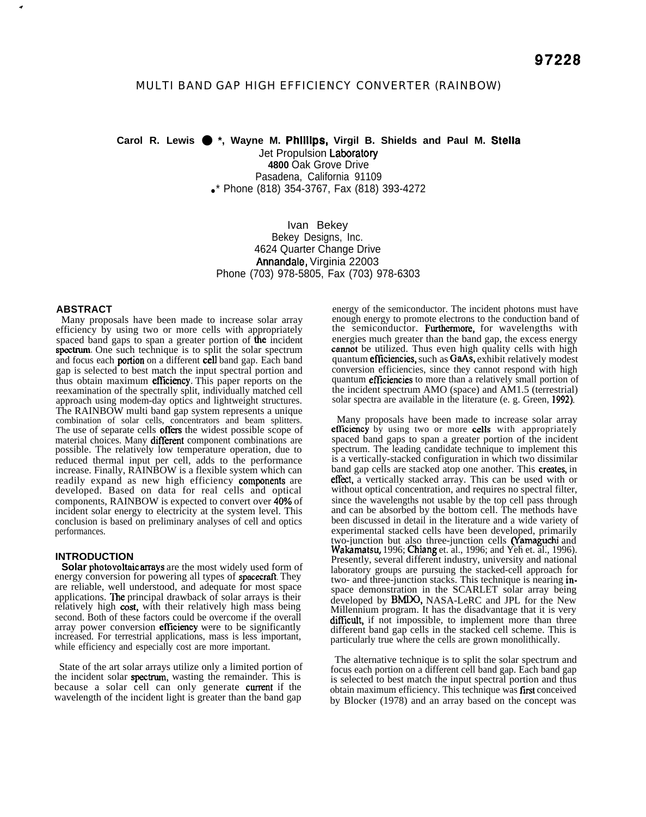# MULTI BAND GAP HIGH EFFICIENCY CONVERTER (RAINBOW)

**Carol R. Lewis** ● **\*, Wayne M. Phllllps, Virgil B. Shields and Paul M. Stella** Jet Propulsion Laboratory

**4800** Oak Grove Drive Pasadena, California 91109 •\* Phone (818) 354-3767, Fax (818) 393-4272

Ivan Bekey Bekey Designs, Inc. 4624 Quarter Change Drive Annandale, Virginia 22003 Phone (703) 978-5805, Fax (703) 978-6303

### **ABSTRACT**

.+

Many proposals have been made to increase solar array efficiency by using two or more cells with appropriately spaced band gaps to span a greater portion of the incident spectrum. One such technique is to split the solar spectrum and focus each **portion** on a different **cell** band gap. Each band gap is selected to best match the input spectral portion and thus obtain maximum efficiency. This paper reports on the reexamination of the spectrally split, individually matched cell approach using modem-day optics and lightweight structures. The RAINBOW multi band gap system represents a unique combination of solar cells, concentrators and beam splitters. The use of separate cells offers the widest possible scope of material choices. Many different component combinations are possible. The relatively low temperature operation, due to reduced thermal input per cell, adds to the performance increase. Finally, RAINBOW is a flexible system which can readily expand as new high efficiency components are developed. Based on data for real cells and optical components, RAINBOW is expected to convert over **40%** of incident solar energy to electricity at the system level. This conclusion is based on preliminary analyses of cell and optics performances.

### **INTRODUCTION**

**Solar** photovoltaic amays are the most widely used form of energy conversion for powering all types of **spacecraft**. They are reliable, well understood, and adequate for most space applications. The principal drawback of solar arrays is their relatively high cost, with their relatively high mass being second. Both of these factors could be overcome if the overall array power conversion efficiency were to be significantly increased. For terrestrial applications, mass is less important, while efficiency and especially cost are more important.

State of the art solar arrays utilize only a limited portion of the incident solar **spectrum**, wasting the remainder. This is because a solar cell can only generate current if the wavelength of the incident light is greater than the band gap

energy of the semiconductor. The incident photons must have enough energy to promote electrons to the conduction band of the semiconductor. Furthermore, for wavelengths with energies much greater than the band gap, the excess energy camot be utilized. Thus even high quality cells with high quantum efficiencies, such as GaAs, exhibit relatively modest conversion efficiencies, since they cannot respond with high quantum *efficiencies* to more than a relatively small portion of the incident spectrum AMO (space) and AM1.5 (terrestrial) solar spectra are available in the literature (e. g. Green, 1992).

Many proposals have been made to increase solar array efficiency by using two or more cells with appropriately spaced band gaps to span a greater portion of the incident spectrum. The leading candidate technique to implement this is a vertically-stacked configuration in which two dissimilar band gap cells are stacked atop one another. This creates, in effect, a vertically stacked array. This can be used with or without optical concentration, and requires no spectral filter, since the wavelengths not usable by the top cell pass through and can be absorbed by the bottom cell. The methods have been discussed in detail in the literature and a wide variety of experimental stacked cells have been developed, primarily two-junction but also three-junction cells (Yamaguchi and Wakamatsu, 1996; Chiang et. al., 1996; and Yeh et. al., 1996). Presently, several different industry, university and national laboratory groups are pursuing the stacked-cell approach for two- and three-junction stacks. This technique is nearing inspace demonstration in the SCARLET solar array being developed by BMDO, NASA-LeRC and JPL for the New Millennium program. It has the disadvantage that it is very difficult, if not impossible, to implement more than three different band gap cells in the stacked cell scheme. This is particularly true where the cells are grown monolithically.

The alternative technique is to split the solar spectrum and focus each portion on a different cell band gap. Each band gap is selected to best match the input spectral portion and thus obtain maximum efficiency. This technique was first conceived by Blocker (1978) and an array based on the concept was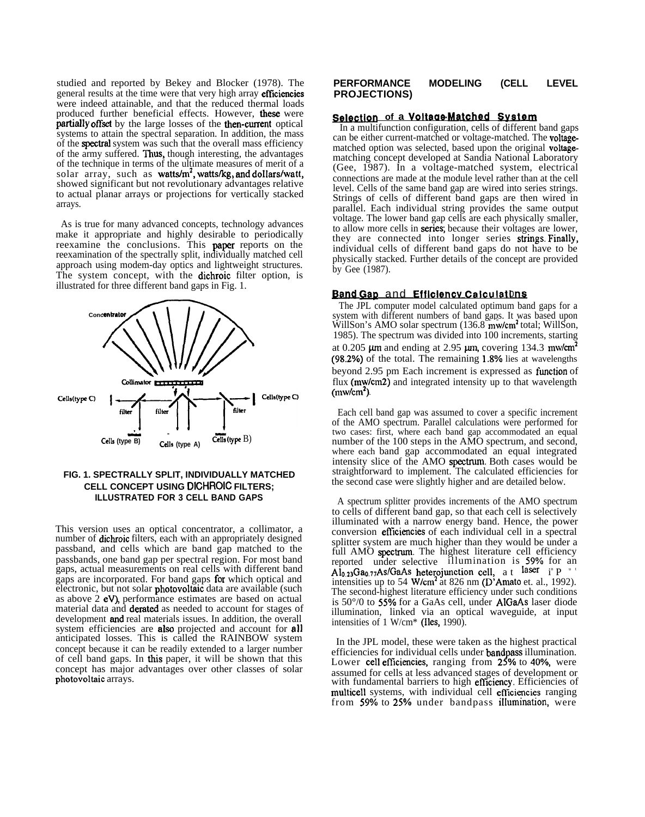studied and reported by Bekey and Blocker (1978). The general results at the time were that very high array efficiencies were indeed attainable, and that the reduced thermal loads produced further beneficial effects. However, these were **partially offset** by the large losses of the **then-current** optical systems to attain the spectral separation. In addition, the mass of the spctral system was such that the overall mass efficiency of the army suffered. Thus, though interesting, the advantages of the technique in terms of the ultimate measures of merit of a solar array, such as **watts/m<sup>2</sup>, watts/kg, and dollars/watt,** showed significant but not revolutionary advantages relative to actual planar arrays or projections for vertically stacked arrays.

As is true for many advanced concepts, technology advances make it appropriate and highly desirable to periodically reexamine the conclusions. This **paper** reports on the reexamination of the spectrally split, individually matched cell approach using modem-day optics and lightweight structures. The system concept, with the dichroic filter option, is illustrated for three different band gaps in Fig. 1.



# **FIG. 1. SPECTRALLY SPLIT, INDIVIDUALLY MATCHED CELL CONCEPT USING DICHROIC FILTERS; ILLUSTRATED FOR 3 CELL BAND GAPS**

This version uses an optical concentrator, a collimator, a number of **dichroic** filters, each with an appropriately designed passband, and cells which are band gap matched to the passbands, one band gap per spectral region. For most band gaps, actual measurements on real cells with different band gaps are incorporated. For band gaps for which optical and electronic, but not solar photovoltaic data are available (such as above  $2$  eV), performance estimates are based on actual material data and derated as needed to account for stages of development and real materials issues. In addition, the overall system efficiencies are also projected and account for all anticipated losses. This is called the RAINBOW system concept because it can be readily extended to a larger number of cell band gaps. In this paper, it will be shown that this concept has major advantages over other classes of solar photovoltaic arrays.

### **PERFORMANCE MODELING (CELL LEVEL PROJECTIONS)**

# Selection of a Voltage-Matched System

In a multifunction configuration, cells of different band gaps can be either current-matched or voltage-matched. The voltagematched option was selected, based upon the original voltagematching concept developed at Sandia National Laboratory (Gee, 1987). In a voltage-matched system, electrical connections are made at the module level rather than at the cell level. Cells of the same band gap are wired into series strings. Strings of cells of different band gaps are then wired in parallel. Each individual string provides the same output voltage. The lower band gap cells are each physically smaller, to allow more cells in **series**; because their voltages are lower, they are connected into longer series strings. Finally, individual cells of different band gaps do not have to be physically stacked. Further details of the concept are provided by Gee (1987).

### **Band Gap** and Efficiency Calculations

The JPL computer model calculated optimum band gaps for a system with different numbers of band gaps. It was based upon WillSon's AMO solar spectrum  $(136.8 \text{ m} \text{w/cm}^2 \text{ total};$  WillSon, 1985). The spectrum was divided into 100 increments, starting at 0.205  $\mu$ m and ending at 2.95  $\mu$ m, covering 134.3 mw/cm<sup>2</sup> (98.2%) of the total. The remaining 1.8% lies at wavelengths beyond 2.95 pm Each increment is expressed as fiurction of flux (mw/cm2) and integrated intensity up to that wavelength  $(mw/cm<sup>2</sup>)$ .

Each cell band gap was assumed to cover a specific increment of the AMO spectrum. Parallel calculations were performed for two cases: first, where each band gap accommodated an equal number of the 100 steps in the AMO spectrum, and second, where each band gap accommodated an equal integrated intensity slice of the AMO spectrum. Both cases would be straightforward to implement. The calculated efficiencies for the second case were slightly higher and are detailed below.

A spectrum splitter provides increments of the AMO spectrum to cells of different band gap, so that each cell is selectively illuminated with a narrow energy band. Hence, the power conversion eftlciencies of each individual cell in a spectral splitter system are much higher than they would be under a full AMO spectrum. The highest literature cell efficiency reported under selective illumination is 59% for an  $\widehat{Al}_{0.23}Ga_{0.77}As/GaAs$  heterojunction cell, at laser in P intervals intensities up to 54 W/cm<sup>2</sup> at 826 nm (D'Amato et. al., 1992). The second-highest literature efficiency under such conditions is 50°/0 to 55°/0 for a GaAs cell, under AIGaAs laser diode illumination, linked via an optical waveguide, at input intensities of 1 W/cm\* (Iles, 1990).

In the JPL model, these were taken as the highest practical efficiencies for individual cells under bandpass illumination. Lower cell efficiencies, ranging from 25% to 40%, were assumed for cells at less advanced stages of development or with fundamental barriers to high efficiency. Efficiencies of multicell systems, with individual cell efficiencies ranging from 59% to 25% under bandpass illumination, were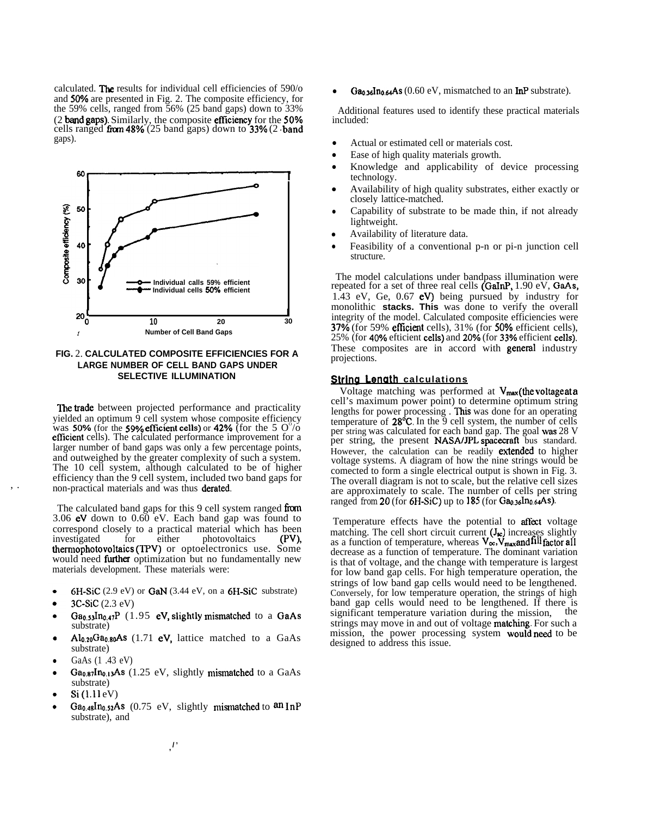calculated. The results for individual cell efficiencies of 590/o and 50% are presented in Fig. 2. The composite efficiency, for the 59% cells, ranged from 56% (25 band gaps) down to 33% (2 band gaps). Similarly, the composite efficiency for the 50% cells ranged from  $48\%$  (25 band gaps) down to 33% (2 band gaps).



**FIG.** 2. **CALCULATED COMPOSITE EFFICIENCIES FOR A LARGE NUMBER OF CELL BAND GAPS UNDER SELECTIVE ILLUMINATION**

The trade between projected performance and practicality yielded an optimum 9 cell system whose composite efficiency was **50%** (for the **59% efficient cells)** or **42%** (for the 5  $O^{\circ}/\overline{o}$ efficient cells). The calculated performance improvement for a larger number of band gaps was only a few percentage points, and outweighed by the greater complexity of such a system. The 10 cell system, although calculated to be of higher efficiency than the 9 cell system, included two band gaps for non-practical materials and was thus derated.

The calculated band gaps for this 9 cell system ranged from 3.06  $eV$  down to 0.60  $eV$ . Each band gap was found to correspond closely to a practical material which has been<br>investigated for either photovoltaics (PV), for either photovoltaics (PV), thermophotovoltaics (TPV) or optoelectronics use. Some would need further optimization but no fundamentally new materials development. These materials were:

- 6H-SiC (2.9 eV) or GaN (3.44 eV, on a 6H-SiC substrate)
- 3C-SiC (2.3 eV)
- Ga<sub>0.53</sub>In<sub>0.47</sub>P (1.95 eV, slightly mismatched to a GaAs substrate)
- $Al<sub>0.20</sub>Ga<sub>0.80</sub>As$  (1.71 eV, lattice matched to a GaAs substrate)
- GaAs (1 .43 eV)
- $Ga<sub>0.87</sub> In<sub>0.13</sub> As (1.25 eV, slightly mismatched to a GaAs)$ substrate)
- Si(l.11 eV)
- $Ga<sub>0.48</sub> In<sub>0.52</sub> As (0.75 eV, slightly mismatched to an InP)$ substrate), and

 $Ga<sub>0.36</sub>In<sub>0.64</sub> As (0.60 eV, mismatched to an **InP** substrate).$ 

Additional features used to identify these practical materials included:

- Actual or estimated cell or materials cost.
- Ease of high quality materials growth.
- Knowledge and applicability of device processing technology.
- Availability of high quality substrates, either exactly or closely lattice-matched.
- Capability of substrate to be made thin, if not already lightweight.
- Availability of literature data.
- Feasibility of a conventional p-n or pi-n junction cell structure.

The model calculations under bandpass illumination were repeated for a set of three real cells (GaInP, 1.90 eV, GaAs, 1.43 eV, Ge,  $0.67$  eV) being pursued by industry for monolithic **stacks. This** was done to verify the overall integrity of the model. Calculated composite efficiencies were 37V0 (for 59% eflicient cells), 31% (for **50V0** efficient cells), 25% (for 40% efticient cells) and 20% (for 33% efficient cells). These composites are in accord with general industry projections.

### **String Length calculations**

**Voltage matching was performed at**  $V_{\text{max}}$  **(the <b>voltage at a** cell's maximum power point) to determine optimum string lengths for power processing . This was done for an operating temperature of  $28^{\circ}C$ . In the 9 cell system, the number of cells per string was calculated for each band gap. The goal was 28 V per string, the present NASA/JPL spacecraft bus standard. However, the calculation can be readily extended to higher voltage systems. A diagram of how the nine strings would be comected to form a single electrical output is shown in Fig. 3. The overall diagram is not to scale, but the relative cell sizes are approximately to scale. The number of cells per string ranged *from* 20 (for  $6H-SiC$ ) up to 185 (for  $Ga<sub>0.36</sub>In<sub>0.64</sub>As$ ).

Temperature effects have the potential to affect voltage matching. The cell short circuit current  $(J_{\infty})$  increases slightly as a function of temperature, whereas  $V_{\infty}$ ,  $V_{\max}$  and fill factor all decrease as a function of temperature. The dominant variation is that of voltage, and the change with temperature is largest for low band gap cells. For high temperature operation, the strings of low band gap cells would need to be lengthened. Conversely, for low temperature operation, the strings of high band gap cells would need to be lengthened. If there is significant temperature variation during the mission significant temperature variation during the mission, strings may move in and out of voltage matching. For such a mission, the power processing system would need to be designed to address this issue.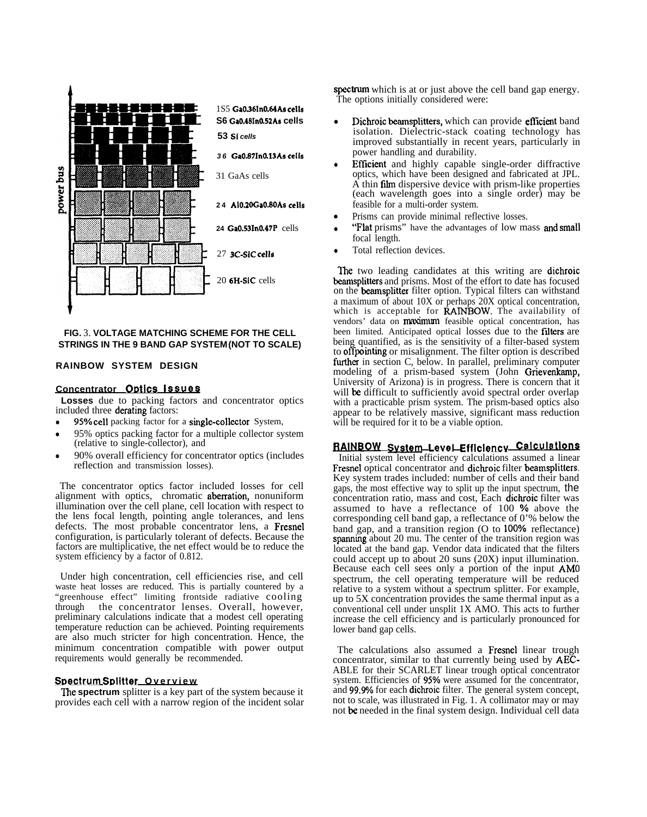

### **FIG.** 3. **VOLTAGE MATCHING SCHEME FOR THE CELL STRINGS IN THE 9 BAND GAP SYSTEM (NOT TO SCALE)**

### **RAINBOW SYSTEM DESIGN**

#### **Concentrator Or)tlcs Issues**

**Losses** due to packing factors and concentrator optics included three derating factors:

- **95% cell** packing factor for a **single-collector** System,
- 95% optics packing factor for a multiple collector system (relative to single-collector), and
- 90% overall efficiency for concentrator optics (includes reflection and transmission losses).

The concentrator optics factor included losses for cell alignment with optics, chromatic aberration, nonuniform illumination over the cell plane, cell location with respect to the lens focal length, pointing angle tolerances, and lens defects. The most probable concentrator lens, a Fresnel configuration, is particularly tolerant of defects. Because the factors are multiplicative, the net effect would be to reduce the system efficiency by a factor of 0.812.

Under high concentration, cell efficiencies rise, and cell waste heat losses are reduced. This is partially countered by a "greenhouse effect" limiting frontside radiative cooling the concentrator lenses. Overall, however, preliminary calculations indicate that a modest cell operating temperature reduction can be achieved. Pointing requirements are also much stricter for high concentration. Hence, the minimum concentration compatible with power output requirements would generally be recommended.

#### **Spectrum Splitter Overview**

**Ihe spectrum** splitter is a key part of the system because it provides each cell with a narrow region of the incident solar spectrum which is at or just above the cell band gap energy. The options initially considered were:

- Dichroic beamsplitters, which can provide efficient band isolation. Dielectric-stack coating technology has improved substantially in recent years, particularly in power handling and durability.
- Efficient and highly capable single-order diffractive optics, which have been designed and fabricated at JPL.  $\overrightarrow{A}$  thin film dispersive device with prism-like properties (each wavelength goes into a single order) may be feasible for a multi-order system.
- Prisms can provide minimal reflective losses.
- "Flat prisms" have the advantages of low mass and small focal length.
- Total reflection devices.

The two leading candidates at this writing are dichroic beamsplitters and prisms. Most of the effort to date has focused on the beamsplitter filter option. Typical filters can withstand a maximum of about 10X or perhaps 20X optical concentration, which is acceptable for  $\hat{R}$ AINBOW. The availability of vendors' data on **maximum** feasible optical concentration, has been limited. Anticipated optical losses due to the filters are being quantified, as is the sensitivity of a filter-based system to **offpointing** or misalignment. The filter option is described further in section C, below. In parallel, preliminary computer modeling of a prism-based system (John Grievenkamp, University of Arizona) is in progress. There is concern that it will be difficult to sufficiently avoid spectral order overlap with a practicable prism system. The prism-based optics also appear to be relatively massive, significant mass reduction will be required for it to be a viable option.

### RAINBOW Wtem Level **Efflclencv CalculatlonQ**

Initial system level efficiency calculations assumed a linear Fresnel optical concentrator and dichroic filter beamsplitters. Key system trades included: number of cells and their band gaps, the most effective way to split up the input spectrum, the concentration ratio, mass and cost, Each dichroic filter was assumed to have a reflectance of 100 % above the corresponding cell band gap, a reflectance of 0'% below the band gap, and a transition region  $(O$  to  $100\%$  reflectance) spanning about 20 mu. The center of the transition region was located at the band gap. Vendor data indicated that the filters could accept up to about 20 suns (20X) input illumination. Because each cell sees only a portion of the input AMO spectrum, the cell operating temperature will be reduced relative to a system without a spectrum splitter. For example, up to 5X concentration provides the same thermal input as a conventional cell under unsplit 1X AMO. This acts to further increase the cell efficiency and is particularly pronounced for lower band gap cells.

The calculations also assumed a Fresnel linear trough concentrator, similar to that currently being used by AEC-ABLE for their SCARLET linear trough optical concentrator system. Efficiencies of 95% were assumed for the concentrator, and 99.9% for each dichroic filter. The general system concept, not to scale, was illustrated in Fig. 1. A collimator may or may not be needed in the final system design. Individual cell data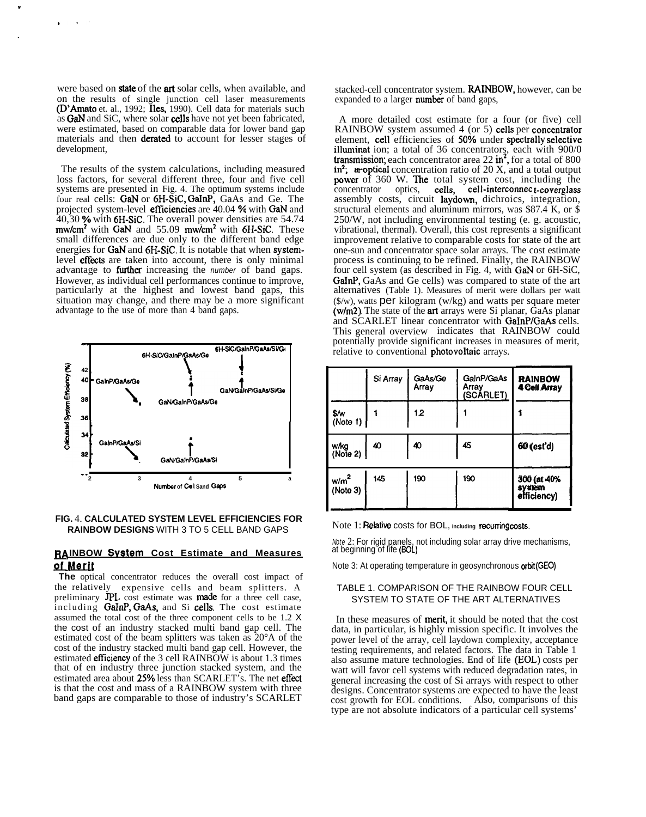were based on **state** of the **art** solar cells, when available, and on the results of single junction cell laser measurements (D'Amato et. al., 1992; Iles, 1990). Cell data for materials such as GaN and SiC, where solar cells have not yet been fabricated, were estimated, based on comparable data for lower band gap materials and then derated to account for lesser stages of development.

The results of the system calculations, including measured loss factors, for several different three, four and five cell systems are presented in Fig. 4. The optimum systems include four real cells: GaN or 6H-SiC, GaInP, GaAs and Ge. The projected system-level **efficiencies** are 40.04 % with GaN and  $40,30$  % with 6H-SiC. The overall power densities are 54.74 mw/cm<sup>2</sup> with GaN and 55.09 mw/cm<sup>2</sup> with 6H-SiC. These small differences are due only to the different band edge energies for GaN and 6H-SiC. It is notable that when systemlevel effects are taken into account, there is only minimal advantage to **further** increasing the *number* of band gaps. However, as individual cell performances continue to improve, particularly at the highest and lowest band gaps, this situation may change, and there may be a more significant advantage to the use of more than 4 band gaps.



### FIG. 4. CALCULATED SYSTEM LEVEL EFFICIENCIES FOR RAINBOW DESIGNS WITH 3 TO 5 CELL BAND GAPS

### RAINBOW System Cost Estimate and Measures of Merit

The optical concentrator reduces the overall cost impact of the relatively expensive cells and beam splitters. A preliminary JPL cost estimate was made for a three cell case, including GaInP, GaAs, and Si cells. The cost estimate assumed the total cost of the three component cells to be 1.2 X the cost of an industry stacked multi band gap cell. The estimated cost of the beam splitters was taken as 20°A of the cost of the industry stacked multi band gap cell. However, the estimated efficiency of the 3 cell RAINBOW is about 1.3 times that of en industry three junction stacked system, and the estimated area about 25% less than SCARLET's. The net effect is that the cost and mass of a RAINBOW system with three band gaps are comparable to those of industry's SCARLET

stacked-cell concentrator system. RAINBOW, however, can be expanded to a larger number of band gaps,

A more detailed cost estimate for a four (or five) cell RAINBOW system assumed 4 (or 5) cells per concentrator<br>element, cell efficiencies of 50% under spectrally selective illuminat ion; a total of 36 concentrators, each with 900/0 transmission; each concentrator area  $22 \text{ in}^2$ , for a total of 800 in<sup>2</sup>; aroptical concentration ratio of  $20 \text{ X}$ , and a total output power of 360 W. The total system cost, including the cells, cell-interconnect-coverglass concentrator optics, assembly costs, circuit laydown, dichroics, integration, structural elements and aluminum mirrors, was  $$87.4 \text{ K}$ , or \$ 250/W, not including environmental testing (e. g. acoustic, vibrational, thermal). Overall, this cost represents a significant improvement relative to comparable costs for state of the art one-sun and concentrator space solar arrays. The cost estimate process is continuing to be refined. Finally, the RAINBOW four cell system (as described in Fig. 4, with GaN or 6H-SiC, **GaInP**, GaAs and Ge cells) was compared to state of the art alternatives (Table 1). Measures of merit were dollars per watt  $(\frac{f}{w})$ , watts per kilogram (w/kg) and watts per square meter (w/m2). The state of the art arrays were Si planar, GaAs planar and SCARLET linear concentrator with GaInP/GaAs cells. This general overview indicates that RAINBOW could potentially provide significant increases in measures of merit, relative to conventional photovoltaic arrays.

|                              | Si Array | GaAs/Ge<br>Array | GalnP/GaAs<br>Array<br>(SCÁRLET) | <b>RAINBOW</b><br>4 Cell Array       |
|------------------------------|----------|------------------|----------------------------------|--------------------------------------|
| \$/w<br>(Note 1)             |          | 12               |                                  |                                      |
| w/kg<br>(Note 2)             | 40       | 40               | 45                               | 60 (est'd)                           |
| w/m <sup>2</sup><br>(Note 3) | 145      | 190              | 190                              | 300 (at 40%<br>svatem<br>efficiency) |

Note 1: Relative costs for BOL, including recurring costs.

Note 2: For rigid panels, not including solar array drive mechanisms, at beginning of life (BOL)

Note 3: At operating temperature in geosynchronous orbit (GEO)

## TABLE 1. COMPARISON OF THE RAINBOW FOUR CELL SYSTEM TO STATE OF THE ART ALTERNATIVES

In these measures of ment, it should be noted that the cost data, in particular, is highly mission specific. It involves the power level of the array, cell laydown complexity, acceptance testing requirements, and related factors. The data in Table 1 also assume mature technologies. End of life (EOL) costs per watt will favor cell systems with reduced degradation rates, in general increasing the cost of Si arrays with respect to other designs. Concentrator systems are expected to have the least cost growth for EOL conditions. Also, comparisons of this type are not absolute indicators of a particular cell systems'